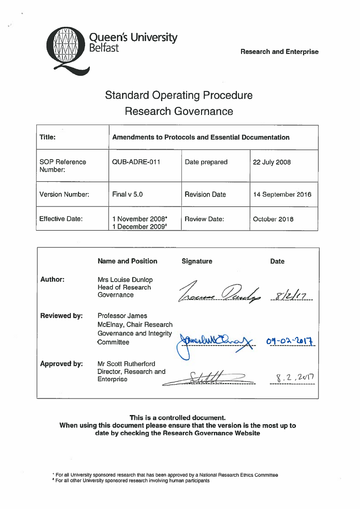

# Standard Operating Procedure Research Governance

| <b>Title:</b>                   | <b>Amendments to Protocols and Essential Documentation</b> |                      |                   |
|---------------------------------|------------------------------------------------------------|----------------------|-------------------|
| <b>SOP Reference</b><br>Number: | QUB-ADRE-011                                               | Date prepared        | 22 July 2008      |
| <b>Version Number:</b>          | Final $v$ 5.0                                              | <b>Revision Date</b> | 14 September 2016 |
| <b>Effective Date:</b>          | 1 November 2008*<br>December 2009#                         | <b>Review Date:</b>  | October 2018      |

|                     | <b>Name and Position</b>                                                                   | <b>Signature</b> | <b>Date</b> |
|---------------------|--------------------------------------------------------------------------------------------|------------------|-------------|
| <b>Author:</b>      | <b>Mrs Louise Dunlop</b><br><b>Head of Research</b><br>Governance                          |                  | 8/2/17      |
| <b>Reviewed by:</b> | <b>Professor James</b><br>McElnay, Chair Research<br>Governance and Integrity<br>Committee |                  | 09-02-2017  |
| <b>Approved by:</b> | <b>Mr Scott Rutherford</b><br>Director, Research and<br><b>Enterprise</b>                  |                  | 2.201       |

#### This is <sup>a</sup> controlled document. When using this document please ensure that the version is the most up to date by checking the Research Governance Website

\* For all University sponsored research that has been approved by a National Research Ethics Committee

For all other University sponsored research involving human participants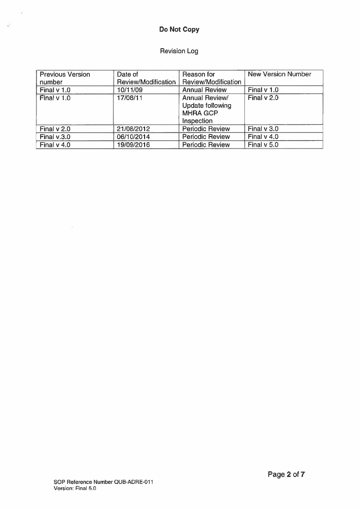### Do Not Copy

 $\mathcal{L}^{\mathcal{L}}$ 

 $\omega^2$ 

## Revision Log

| <b>Previous Version</b> | Date of             | Reason for              | New Version Number |
|-------------------------|---------------------|-------------------------|--------------------|
| number                  | Review/Modification | Review/Modification     |                    |
| Final $v$ 1.0           | 10/11/09            | <b>Annual Review</b>    | Final $v$ 1.0      |
| Final v 1.0             | 17/08/11            | <b>Annual Review/</b>   | Final v 2.0        |
|                         |                     | <b>Update following</b> |                    |
|                         |                     | <b>MHRA GCP</b>         |                    |
|                         |                     | Inspection              |                    |
| Final $v$ 2.0           | 21/08/2012          | <b>Periodic Review</b>  | Final $v$ 3.0      |
| Final $v.3.0$           | 06/10/2014          | <b>Periodic Review</b>  | Final $v$ 4.0      |
| Final $v$ 4.0           | 19/09/2016          | <b>Periodic Review</b>  | Final v 5.0        |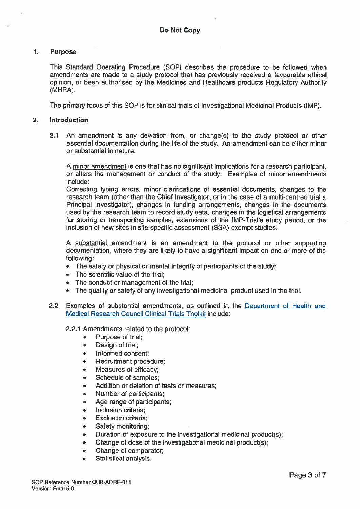#### $1<sub>1</sub>$ Purpose

This Standard Operating Procedure (SOP) describes the procedure to be followed when amendments are made to <sup>a</sup> study protocol that has previously received <sup>a</sup> favourable ethical opinion, or been authorised by the Medicines and Healthcare products Regulatory Authority (MHRA).

The primary focus of this SOP is for clinical trials of Investigational Medicinal Products (IMP).

#### 2. introduction

2.1 An amendment is any deviation from, or change(s) to the study protocol or other essential documentation during the life of the study. An amendment can be either minor or substantial in nature.

A minor amendment is one that has no significant implications for <sup>a</sup> research participant, or alters the managemen<sup>t</sup> or conduct of the study. Examples of minor amendments include:

Correcting typing errors, minor clarifications of essential documents, changes to the research team (other than the Chief Investigator, or in the case of <sup>a</sup> multi-centred trial <sup>a</sup> Principal Investigator), changes in funding arrangements, changes in the documents used by the research team to record study data, changes in the logistical arrangements for storing or transporting samples, extensions of the IMP-Trial's study period, or the inclusion of new sites in site specific assessment (SSA) exemp<sup>t</sup> studies.

A substantial amendment is an amendment to the protocol or other supporting documentation, where they are likely to have <sup>a</sup> significant impact on one or more of the following:

- The safety or physical or mental integrity of participants of the study;
- The scientific value of the trial;
- The conduct or managemen<sup>t</sup> of the trial;
- The quality or safety of any investigational medicinal product used in the trial.
- 2.2 Examples of substantial amendments, as outlined in the Department of Health and Medical Research Council Clinical Trials Toolkit include:

#### 2.2.1 Amendments related to the protocol:

- $\bullet$ Purpose of trial;
- •Design of trial;
- •Informed consent;
- •Recruitment procedure;
- •Measures of efficacy;
- •Schedule of samples;
- •Addition or deletion of tests or measures;
- •Number of participants;
- •Age range of participants;
- •Inclusion criteria;
- •Exclusion criteria;
- •Safety monitoring;
- •Duration of exposure to the investigational medicinal product(s);
- Change of dose of the investigational medicinal product(s);
- •Change of comparator;
- Statistical analysis.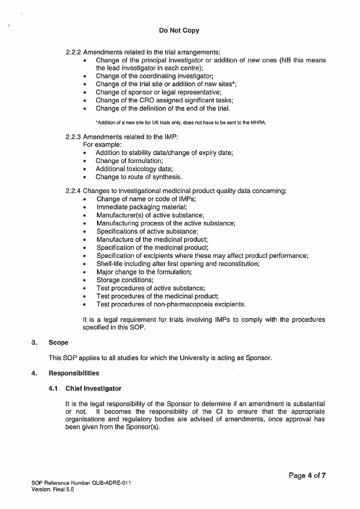2.2.2 Amendments related to the trial arrangements:

- • Change of the principal investigator or addition of new ones (NB this means the lead investigator in each centre);
- •Change of the coordinating investigator;
- •Change of the trial site or addition of new sites\*;
- •Change of sponsor or legal representative;
- •Change of the CRC assigned significant tasks;
- •Change of the definition of the end of the trial.

Addition of <sup>a</sup> new site for UK trials only, does not have to be sent to the MHRA.

#### 2.2.3 Amendments related to the IMP:

For example:

- $\bullet$ Addition to stability data/change of expiry date;
- •Change of formulation;
- •Additional toxicology data;
- •Change to route of synthesis.

2.2.4 Changes to investigational medicinal product quality data concerning:

- •Change of name or code of IMPs;
- •Immediate packaging material;
- •Manufacturer(s) of active substance;
- •Manufacturing process of the active substance;
- •Specifications of active substance;
- •Manufacture of the medicinal product;
- •Specification of the medicinal product;
- •Specification of excipients where these may affect product performance;
- •Shelf-life including after first opening and reconstitution;
- •Major change to the formulation;
- •Storage conditions;
- •Test procedures of active substance;
- •Test procedures of the medicinal product;
- •Test procedures of non-pharmacopoeia excipients.

It is <sup>a</sup> legal requirement for trials involving IMPs to comply with the procedures specified in this SOP.

#### 3. Scope

This SOP applies to all studies for which the University is acting as Sponsor.

#### 4. Responsibilities

#### 4.1 Chief Investigator

It is the legal responsibility of the Sponsor to determine if an amendment is substantial or not. It becomes the responsibility of the CI to ensure that the appropriate organisations and regulatory bodies are advised of amendments, once approval has been given from the Sponsor(s).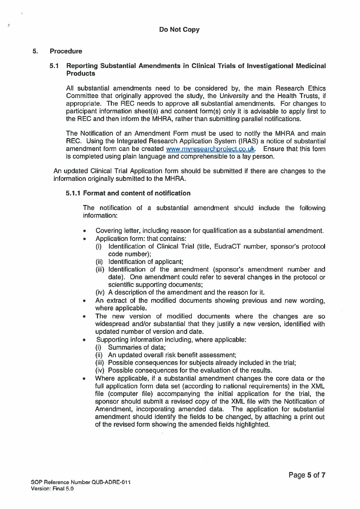#### 5. Procedure

#### 5.1 Reporting Substantial Amendments in Clinical Trials of Investigational Medicinal **Products**

All substantial amendments need to be considered by, the main Research Ethics Committee that originally approved the study, the University and the Health Trusts, if appropriate. The REC needs to approve all substantial amendments. For changes to participant information sheet(s) and consent form(s) only it is advisable to apply first to the REC and then inform the MHRA, rather than submitting parallel notifications.

The Notification of an Amendment Form must be used to notify the MHRA and main REC. Using the Integrated Research Application System (IRAS) <sup>a</sup> notice of substantial amendment form can be created www.myresearchproject.co.uk. Ensure that this form is completed using plain language and comprehensible to <sup>a</sup> lay person.

An updated Clinical Trial Application form should be submitted if there are changes to the information originally submitted to the MHRA.

#### 5.1.1 Format and content of notification

The notification of <sup>a</sup> substantial amendment should include the following information:

- •Covering letter, including reason for qualification as <sup>a</sup> substantial amendment.
- • Application form: that contains:
	- (i) Identification of Clinical Trial (title, EudraCT number, sponsor's protocol code number);
	- $(ii)$  Identification of applicant:
	- (iii) Identification of the amendment (sponsor's amendment number and date). One amendment could refer to several changes in the protocol or scientific supporting documents;
	- (iv) A description of the amendment and the reason for it.
- • An extract of the modified documents showing previous and new wording, where applicable.
- • The new version of modified documents where the changes are so widespread and/or substantial that they justify <sup>a</sup> new version, identified with updated number of version and date.
- • Supporting information including, where applicable:
	- (i) Summaries of data;
	- (ii) An updated overall risk benefit assessment;
	- (iii) Possible consequences for subjects already included in the trial;
	- (iv) Possible consequences for the evaluation of the results.
- • Where applicable, if <sup>a</sup> substantial amendment changes the core data or the full application form data set (according to national requirements) in the XML file (computer file) accompanying the initial application for the trial, the sponsor should submit <sup>a</sup> revised copy of the XML file with the Notification of Amendment, incorporating amended data. The application for substantial amendment should identify the fields to be changed, by attaching <sup>a</sup> print out of the revised form showing the amended fields highlighted.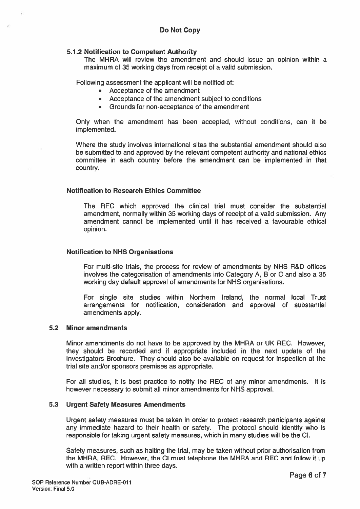#### 5.1.2 Notification to Competent Authority

The MHRA will review the amendment and should issue an opinion within <sup>a</sup> maximum of 35 working days from receipt of <sup>a</sup> valid submission.

Following assessment the applicant will be notified of:

- Acceptance of the amendment
- Acceptance of the amendment subject to conditions
- Grounds for non-acceptance of the amendment

Only when the amendment has been accepted, without conditions, can it be implemented.

Where the study involves international sites the substantial amendment should also be submitted to and approved by the relevant competent authority and national ethics committee in each country before the amendment can be implemented in that country.

#### Notification to Research Ethics Committee

The REC which approved the clinical trial must consider the substantial amendment, normally within 35 working days of receipt of <sup>a</sup> valid submission. Any amendment cannot be implemented until it has received <sup>a</sup> favourable ethical opinion.

#### Notification to NHS Organisations

For multi-site trials, the process for review of amendments by NHS R&D offices involves the categorisation of amendments into Category A, B or C and also <sup>a</sup> 35 working day default approval of amendments for NHS organisations.

For single site studies within Northern Ireland, the normal local Trust arrangements for notification, consideration and approval of substantial amendments apply.

#### 5.2 Minor amendments

Minor amendments do not have to be approved by the MHRA or UK REC. However, they should be recorded and if appropriate included in the next update of the Investigators Brochure. They should also be available on reques<sup>t</sup> for inspection at the trial site and/or sponsors premises as appropriate.

For all studies, it is best practice to notify the REC of any minor amendments. It is however necessary to submit all minor amendments for NHS approval.

#### 5.3 Urgent Safety Measures Amendments

Urgent safety measures must be taken in order to protect research participants against any immediate hazard to their health or safety. The protocol should identify who is responsible for taking urgen<sup>t</sup> safety measures, which in many studies will be the Cl.

Safety measures, such as halting the trial, may be taken without prior authorisation from the MHRA, REC. However, the Cl must telephone the MHRA and REC and follow it up with <sup>a</sup> written repor<sup>t</sup> within three days.